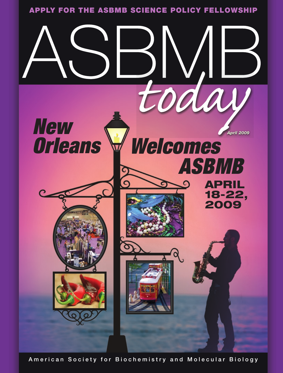

American Society for Biochemistry and Molecular Biology